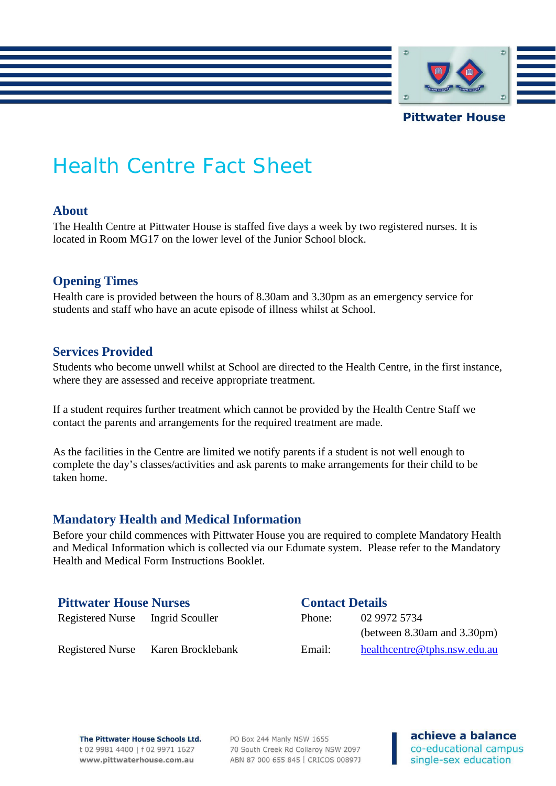

# Health Centre Fact Sheet

## **About**

The Health Centre at Pittwater House is staffed five days a week by two registered nurses. It is located in Room MG17 on the lower level of the Junior School block.

## **Opening Times**

Health care is provided between the hours of 8.30am and 3.30pm as an emergency service for students and staff who have an acute episode of illness whilst at School.

# **Services Provided**

Students who become unwell whilst at School are directed to the Health Centre, in the first instance, where they are assessed and receive appropriate treatment.

If a student requires further treatment which cannot be provided by the Health Centre Staff we contact the parents and arrangements for the required treatment are made.

As the facilities in the Centre are limited we notify parents if a student is not well enough to complete the day's classes/activities and ask parents to make arrangements for their child to be taken home.

# **Mandatory Health and Medical Information**

Before your child commences with Pittwater House you are required to complete Mandatory Health and Medical Information which is collected via our Edumate system. Please refer to the Mandatory Health and Medical Form Instructions Booklet.

# **Pittwater House Nurses Contact Details**

Registered Nurse Ingrid Scouller

| Phone: | 02 9972 5734                      |
|--------|-----------------------------------|
|        | (between $8.30$ am and $3.30$ pm) |
| Email: | healthcentre@tphs.nsw.edu.au      |

Registered Nurse Karen Brocklebank

### The Pittwater House Schools Ltd. t 02 9981 4400 | f 02 9971 1627 www.pittwaterhouse.com.au

PO Box 244 Manly NSW 1655 70 South Creek Rd Collaroy NSW 2097 ABN 87 000 655 845 | CRICOS 00897J

achieve a balance co-educational campus single-sex education